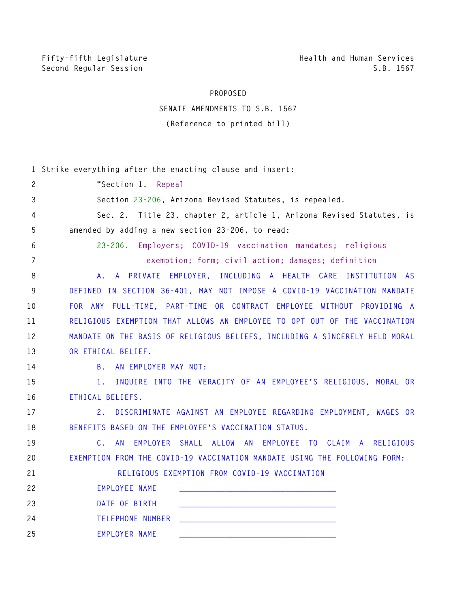Fifty-fifth Legislature **Health and Human Services** Second Regular Session **S.B. 1567** 

## **PROPOSED**

## **SENATE AMENDMENTS TO S.B. 1567 (Reference to printed bill)**

|                | 1 Strike everything after the enacting clause and insert:                     |
|----------------|-------------------------------------------------------------------------------|
| $\overline{c}$ | "Section 1. Repeal                                                            |
| 3              | Section 23-206, Arizona Revised Statutes, is repealed.                        |
| 4              | Sec. 2. Title 23, chapter 2, article 1, Arizona Revised Statutes, is          |
| 5              | amended by adding a new section 23-206, to read:                              |
| 6              | 23-206. Employers; COVID-19 vaccination mandates; religious                   |
| $\overline{7}$ | exemption; form; civil action; damages; definition                            |
| 8              | A. A PRIVATE EMPLOYER, INCLUDING A HEALTH CARE INSTITUTION AS                 |
| 9              | DEFINED IN SECTION 36-401, MAY NOT IMPOSE A COVID-19 VACCINATION MANDATE      |
| 10             | FOR ANY FULL-TIME, PART-TIME OR CONTRACT EMPLOYEE WITHOUT PROVIDING A         |
| 11             | RELIGIOUS EXEMPTION THAT ALLOWS AN EMPLOYEE TO OPT OUT OF THE VACCINATION     |
| 12             | MANDATE ON THE BASIS OF RELIGIOUS BELIEFS, INCLUDING A SINCERELY HELD MORAL   |
| 13             | OR ETHICAL BELIEF.                                                            |
| 14             | B. AN EMPLOYER MAY NOT:                                                       |
| 15             | INQUIRE INTO THE VERACITY OF AN EMPLOYEE'S RELIGIOUS, MORAL OR<br>1.          |
| 16             | ETHICAL BELIEFS.                                                              |
| 17             | 2.<br>DISCRIMINATE AGAINST AN EMPLOYEE REGARDING EMPLOYMENT, WAGES OR         |
| 18             | BENEFITS BASED ON THE EMPLOYEE'S VACCINATION STATUS.                          |
| 19             | EMPLOYER SHALL ALLOW AN EMPLOYEE TO CLAIM A RELIGIOUS<br>$\mathsf{C}$ .<br>AN |
| 20             | EXEMPTION FROM THE COVID-19 VACCINATION MANDATE USING THE FOLLOWING FORM:     |
| 21             | RELIGIOUS EXEMPTION FROM COVID-19 VACCINATION                                 |
| 22             | EMPLOYEE NAME                                                                 |
| 23             | DATE OF BIRTH                                                                 |
| 24             | TELEPHONE NUMBER TELEPHONE NUMBER                                             |
| 25             | <b>EMPLOYER NAME</b>                                                          |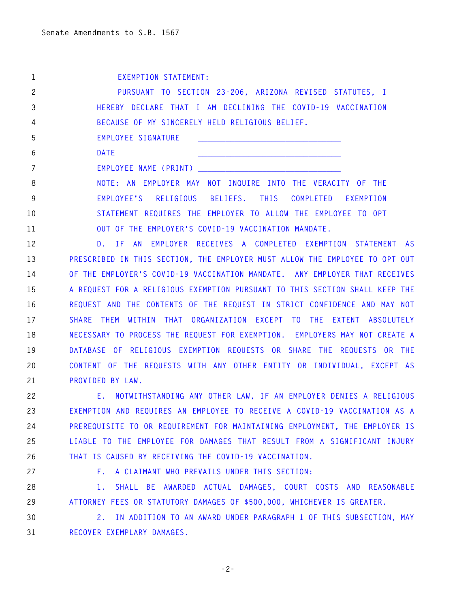|    | EXEMPTION STATEMENT:                                              |
|----|-------------------------------------------------------------------|
| 2  | PURSUANT TO SECTION 23-206, ARIZONA REVISED STATUTES, I           |
| 3  | HEREBY DECLARE THAT I AM DECLINING THE COVID-19 VACCINATION       |
| 4  | BECAUSE OF MY SINCERELY HELD RELIGIOUS BELIEF.                    |
| 5  | EMPLOYEE SIGNATURE                                                |
| 6  | DATE                                                              |
|    | EMPLOYEE NAME (PRINT)                                             |
| 8  | NOTE: AN EMPLOYER MAY NOT INQUIRE INTO THE VERACITY OF THE        |
| 9  | EMPLOYEE'S RELIGIOUS BELIEFS. THIS COMPLETED EXEMPTION            |
| 10 | STATEMENT REQUIRES THE EMPLOYER TO ALLOW THE EMPLOYEE TO OPT      |
| 11 | OUT OF THE EMPLOYER'S COVID-19 VACCINATION MANDATE.               |
| 12 | D. IF AN EMPLOYER RECEIVES A COMPLETED EXEMPTION STATEMENT<br>AS. |

**13 PRESCRIBED IN THIS SECTION, THE EMPLOYER MUST ALLOW THE EMPLOYEE TO OPT OUT 14 OF THE EMPLOYER'S COVID-19 VACCINATION MANDATE. ANY EMPLOYER THAT RECEIVES 15 A REQUEST FOR A RELIGIOUS EXEMPTION PURSUANT TO THIS SECTION SHALL KEEP THE 16 REQUEST AND THE CONTENTS OF THE REQUEST IN STRICT CONFIDENCE AND MAY NOT 17 SHARE THEM WITHIN THAT ORGANIZATION EXCEPT TO THE EXTENT ABSOLUTELY 18 NECESSARY TO PROCESS THE REQUEST FOR EXEMPTION. EMPLOYERS MAY NOT CREATE A 19 DATABASE OF RELIGIOUS EXEMPTION REQUESTS OR SHARE THE REQUESTS OR THE 20 CONTENT OF THE REQUESTS WITH ANY OTHER ENTITY OR INDIVIDUAL, EXCEPT AS 21 PROVIDED BY LAW.** 

**22 E. NOTWITHSTANDING ANY OTHER LAW, IF AN EMPLOYER DENIES A RELIGIOUS 23 EXEMPTION AND REQUIRES AN EMPLOYEE TO RECEIVE A COVID-19 VACCINATION AS A 24 PREREQUISITE TO OR REQUIREMENT FOR MAINTAINING EMPLOYMENT, THE EMPLOYER IS 25 LIABLE TO THE EMPLOYEE FOR DAMAGES THAT RESULT FROM A SIGNIFICANT INJURY 26 THAT IS CAUSED BY RECEIVING THE COVID-19 VACCINATION.** 

**27 F. A CLAIMANT WHO PREVAILS UNDER THIS SECTION:** 

**28 1. SHALL BE AWARDED ACTUAL DAMAGES, COURT COSTS AND REASONABLE 29 ATTORNEY FEES OR STATUTORY DAMAGES OF \$500,000, WHICHEVER IS GREATER.** 

**30 2. IN ADDITION TO AN AWARD UNDER PARAGRAPH 1 OF THIS SUBSECTION, MAY 31 RECOVER EXEMPLARY DAMAGES.** 

**-2-**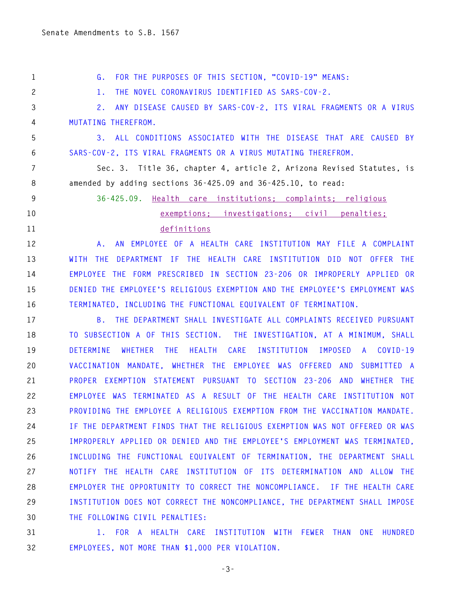**1 G. FOR THE PURPOSES OF THIS SECTION, "COVID-19" MEANS: 2 1. THE NOVEL CORONAVIRUS IDENTIFIED AS SARS-COV-2. 3 2. ANY DISEASE CAUSED BY SARS-COV-2, ITS VIRAL FRAGMENTS OR A VIRUS 4 MUTATING THEREFROM. 5 3. ALL CONDITIONS ASSOCIATED WITH THE DISEASE THAT ARE CAUSED BY 6 SARS-COV-2, ITS VIRAL FRAGMENTS OR A VIRUS MUTATING THEREFROM. 7 Sec. 3. Title 36, chapter 4, article 2, Arizona Revised Statutes, is 8 amended by adding sections 36-425.09 and 36-425.10, to read: 9 36-425.09. Health care institutions; complaints; religious 10 exemptions; investigations; civil penalties; 11 definitions 12 A. AN EMPLOYEE OF A HEALTH CARE INSTITUTION MAY FILE A COMPLAINT 13 WITH THE DEPARTMENT IF THE HEALTH CARE INSTITUTION DID NOT OFFER THE 14 EMPLOYEE THE FORM PRESCRIBED IN SECTION 23-206 OR IMPROPERLY APPLIED OR 15 DENIED THE EMPLOYEE'S RELIGIOUS EXEMPTION AND THE EMPLOYEE'S EMPLOYMENT WAS 16 TERMINATED, INCLUDING THE FUNCTIONAL EQUIVALENT OF TERMINATION. 17 B. THE DEPARTMENT SHALL INVESTIGATE ALL COMPLAINTS RECEIVED PURSUANT 18 TO SUBSECTION A OF THIS SECTION. THE INVESTIGATION, AT A MINIMUM, SHALL 19 DETERMINE WHETHER THE HEALTH CARE INSTITUTION IMPOSED A COVID-19 20 VACCINATION MANDATE, WHETHER THE EMPLOYEE WAS OFFERED AND SUBMITTED A 21 PROPER EXEMPTION STATEMENT PURSUANT TO SECTION 23-206 AND WHETHER THE 22 EMPLOYEE WAS TERMINATED AS A RESULT OF THE HEALTH CARE INSTITUTION NOT 23 PROVIDING THE EMPLOYEE A RELIGIOUS EXEMPTION FROM THE VACCINATION MANDATE. 24 IF THE DEPARTMENT FINDS THAT THE RELIGIOUS EXEMPTION WAS NOT OFFERED OR WAS 25 IMPROPERLY APPLIED OR DENIED AND THE EMPLOYEE'S EMPLOYMENT WAS TERMINATED, 26 INCLUDING THE FUNCTIONAL EQUIVALENT OF TERMINATION, THE DEPARTMENT SHALL 27 NOTIFY THE HEALTH CARE INSTITUTION OF ITS DETERMINATION AND ALLOW THE 28 EMPLOYER THE OPPORTUNITY TO CORRECT THE NONCOMPLIANCE. IF THE HEALTH CARE** 

**30 THE FOLLOWING CIVIL PENALTIES:** 

**31 1. FOR A HEALTH CARE INSTITUTION WITH FEWER THAN ONE HUNDRED 32 EMPLOYEES, NOT MORE THAN \$1,000 PER VIOLATION.** 

**29 INSTITUTION DOES NOT CORRECT THE NONCOMPLIANCE, THE DEPARTMENT SHALL IMPOSE** 

**-3-**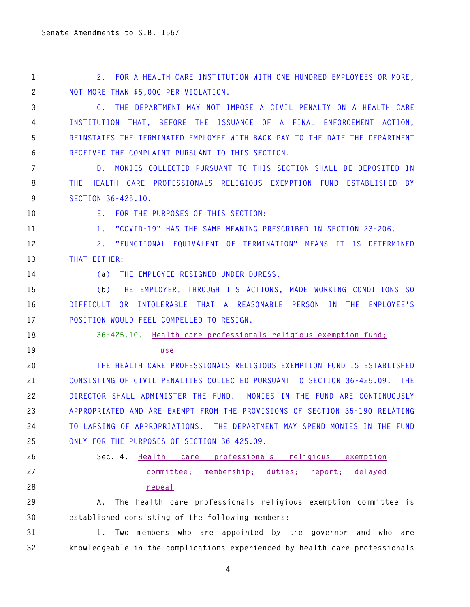**1 2. FOR A HEALTH CARE INSTITUTION WITH ONE HUNDRED EMPLOYEES OR MORE, 2 NOT MORE THAN \$5,000 PER VIOLATION.** 

**3 C. THE DEPARTMENT MAY NOT IMPOSE A CIVIL PENALTY ON A HEALTH CARE 4 INSTITUTION THAT, BEFORE THE ISSUANCE OF A FINAL ENFORCEMENT ACTION, 5 REINSTATES THE TERMINATED EMPLOYEE WITH BACK PAY TO THE DATE THE DEPARTMENT 6 RECEIVED THE COMPLAINT PURSUANT TO THIS SECTION.** 

**7 D. MONIES COLLECTED PURSUANT TO THIS SECTION SHALL BE DEPOSITED IN 8 THE HEALTH CARE PROFESSIONALS RELIGIOUS EXEMPTION FUND ESTABLISHED BY 9 SECTION 36-425.10.** 

**10 E. FOR THE PURPOSES OF THIS SECTION:** 

**11 1. "COVID-19" HAS THE SAME MEANING PRESCRIBED IN SECTION 23-206.** 

**12 2. "FUNCTIONAL EQUIVALENT OF TERMINATION" MEANS IT IS DETERMINED 13 THAT EITHER:** 

**14 (a) THE EMPLOYEE RESIGNED UNDER DURESS.** 

**15 (b) THE EMPLOYER, THROUGH ITS ACTIONS, MADE WORKING CONDITIONS SO 16 DIFFICULT OR INTOLERABLE THAT A REASONABLE PERSON IN THE EMPLOYEE'S 17 POSITION WOULD FEEL COMPELLED TO RESIGN.** 

**18 36-425.10. Health care professionals religious exemption fund;** 

**19 use** 

**20 THE HEALTH CARE PROFESSIONALS RELIGIOUS EXEMPTION FUND IS ESTABLISHED 21 CONSISTING OF CIVIL PENALTIES COLLECTED PURSUANT TO SECTION 36-425.09. THE 22 DIRECTOR SHALL ADMINISTER THE FUND. MONIES IN THE FUND ARE CONTINUOUSLY 23 APPROPRIATED AND ARE EXEMPT FROM THE PROVISIONS OF SECTION 35-190 RELATING 24 TO LAPSING OF APPROPRIATIONS. THE DEPARTMENT MAY SPEND MONIES IN THE FUND 25 ONLY FOR THE PURPOSES OF SECTION 36-425.09.**

## **26 Sec. 4. Health care professionals religious exemption 27 committee; membership; duties; report; delayed 28 repeal**

**29 A. The health care professionals religious exemption committee is 30 established consisting of the following members:** 

**31 1. Two members who are appointed by the governor and who are 32 knowledgeable in the complications experienced by health care professionals** 

**-4-**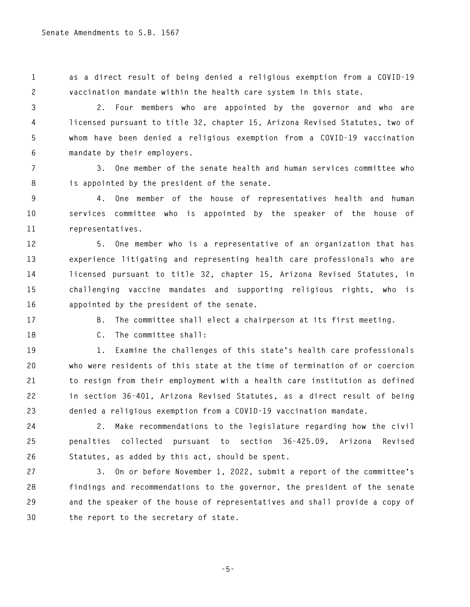**1 as a direct result of being denied a religious exemption from a COVID-19 2 vaccination mandate within the health care system in this state.** 

**3 2. Four members who are appointed by the governor and who are 4 licensed pursuant to title 32, chapter 15, Arizona Revised Statutes, two of 5 whom have been denied a religious exemption from a COVID-19 vaccination 6 mandate by their employers.** 

**7 3. One member of the senate health and human services committee who 8 is appointed by the president of the senate.** 

**9 4. One member of the house of representatives health and human 10 services committee who is appointed by the speaker of the house of 11 representatives.** 

**12 5. One member who is a representative of an organization that has 13 experience litigating and representing health care professionals who are 14 licensed pursuant to title 32, chapter 15, Arizona Revised Statutes, in 15 challenging vaccine mandates and supporting religious rights, who is 16 appointed by the president of the senate.** 

**17 B. The committee shall elect a chairperson at its first meeting.** 

**18 C. The committee shall:** 

**19 1. Examine the challenges of this state's health care professionals 20 who were residents of this state at the time of termination of or coercion 21 to resign from their employment with a health care institution as defined 22 in section 36-401, Arizona Revised Statutes, as a direct result of being 23 denied a religious exemption from a COVID-19 vaccination mandate.** 

**24 2. Make recommendations to the legislature regarding how the civil 25 penalties collected pursuant to section 36-425.09, Arizona Revised 26 Statutes, as added by this act, should be spent.** 

**27 3. On or before November 1, 2022, submit a report of the committee's 28 findings and recommendations to the governor, the president of the senate 29 and the speaker of the house of representatives and shall provide a copy of 30 the report to the secretary of state.** 

**-5-**